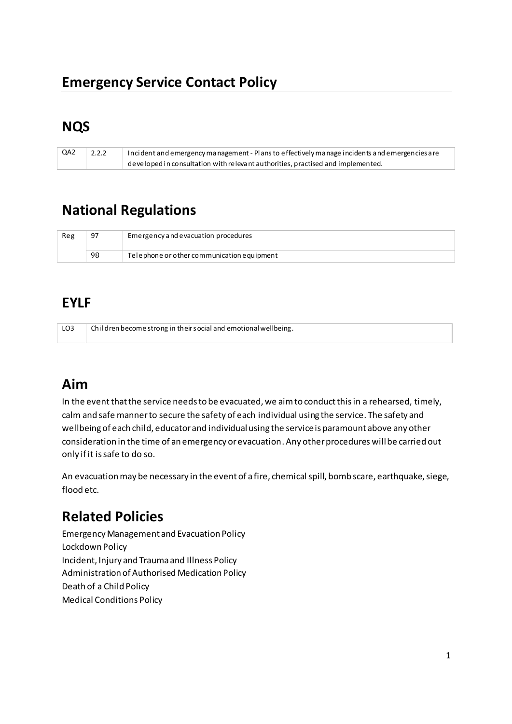### **Emergency Service Contact Policy**

# **NQS**

| QA2 | 2.2.2 | Incident and emergency management - Plans to effectively manage incidents and emergencies are |
|-----|-------|-----------------------------------------------------------------------------------------------|
|     |       | developed in consultation with relevant authorities, practised and implemented.               |

# **National Regulations**

| Reg | 97 | Emergency and evacuation procedures        |
|-----|----|--------------------------------------------|
|     | 98 | Telephone or other communication equipment |

### **EYLF**

| LO <sub>3</sub> | Children become strong in their social and emotional wellbeing. |
|-----------------|-----------------------------------------------------------------|
|                 |                                                                 |

# **Aim**

In the event that the service needs to be evacuated, we aim to conduct this in a rehearsed, timely, calm and safe manner to secure the safety of each individual using the service. The safety and wellbeing of each child, educator and individual using the service is paramount above any other consideration in the time of an emergency or evacuation. Any other procedures will be carried out only if it is safe to do so.

An evacuation may be necessary in the event of a fire, chemical spill, bomb scare, earthquake, siege, flood etc.

# **Related Policies**

Emergency Management and Evacuation Policy Lockdown Policy Incident, Injury and Trauma and Illness Policy Administration of Authorised Medication Policy Death of a Child Policy Medical Conditions Policy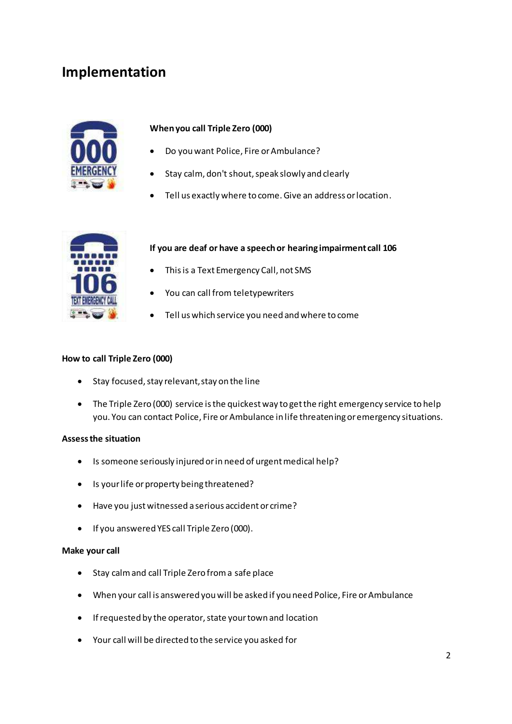### **Implementation**



#### **When you call Triple Zero (000)**

- Do you want Police, Fire or Ambulance?
- Stay calm, don't shout, speak slowly and clearly
- Tell us exactly where to come. Give an address or location.



#### **If you are deaf or have a speech or hearing impairment call 106**

- This is a Text Emergency Call, not SMS
- You can call from teletypewriters
- Tell us which service you need and where to come

#### **How to call Triple Zero (000)**

- Stay focused, stay relevant, stay on the line
- The Triple Zero (000) service is the quickest way to get the right emergency service to help you. You can contact Police, Fire or Ambulance in life threatening or emergency situations.

#### **Assess the situation**

- Is someone seriously injured or in need of urgent medical help?
- Is your life or property being threatened?
- Have you just witnessed a serious accident or crime?
- If you answered YES call Triple Zero (000).

#### **Make your call**

- Stay calm and call Triple Zero from a safe place
- When your call is answered you will be asked if you need Police, Fire or Ambulance
- If requested by the operator, state your town and location
- Your call will be directed to the service you asked for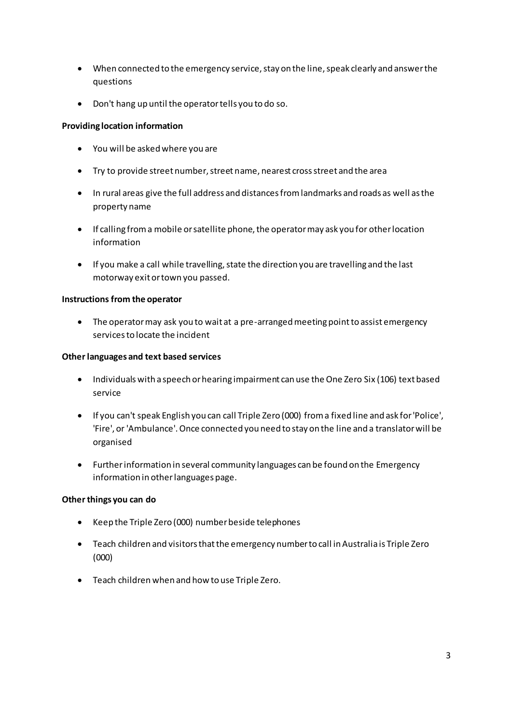- When connected to the emergency service, stay on the line, speak clearly and answer the questions
- Don't hang up until the operator tells you to do so.

#### **Providing location information**

- You will be asked where you are
- Try to provide street number, street name, nearest cross street and the area
- In rural areas give the full address and distances from landmarks and roads as well as the property name
- If calling from a mobile or satellite phone, the operator may ask you for other location information
- If you make a call while travelling, state the direction you are travelling and the last motorway exit or town you passed.

#### **Instructions from the operator**

• The operator may ask you to wait at a pre-arranged meeting point to assist emergency services to locate the incident

#### **Other languages and text based services**

- Individuals with a speech or hearing impairment can use the One Zero Six (106) text based service
- If you can't speak English you can call Triple Zero (000) from a fixed line and ask for 'Police', 'Fire', or 'Ambulance'. Once connected you need to stay on the line and a translator will be organised
- Further information in several community languages can be found on the Emergency information in other languages page.

#### **Other things you can do**

- Keep the Triple Zero (000) number beside telephones
- Teach children and visitors that the emergency number to call in Australia is Triple Zero (000)
- Teach children when and how to use Triple Zero.